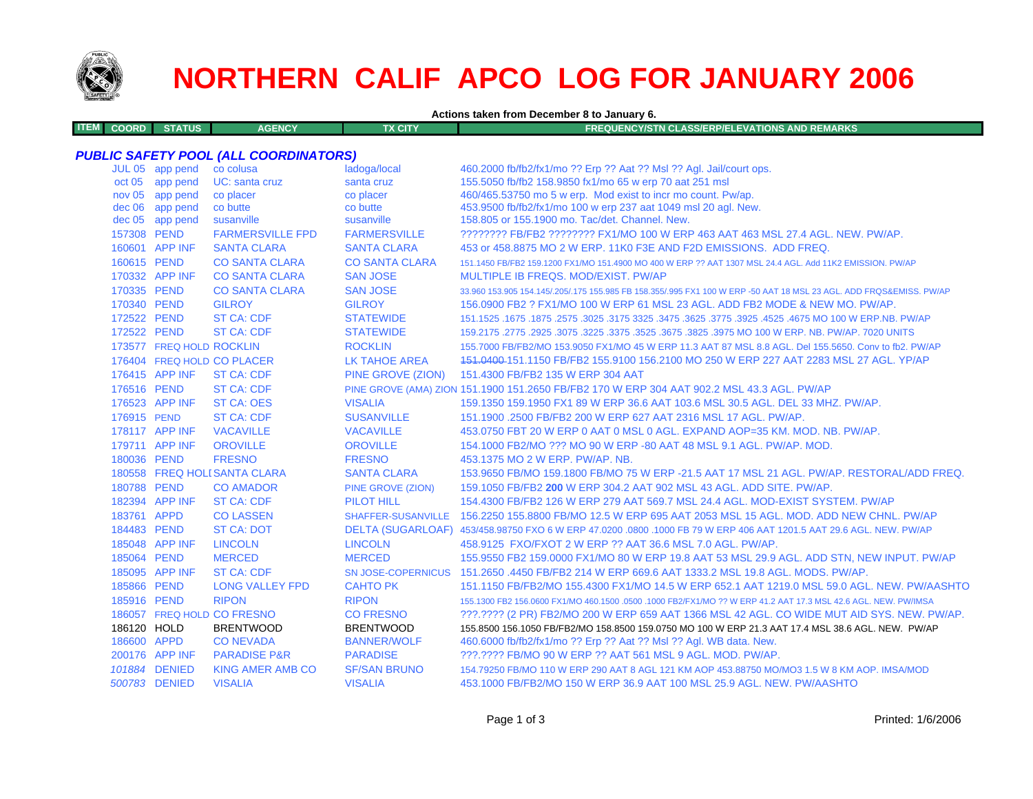

# **NORTHERN CALIF APCO LOG FOR JANUARY 2006**

**Actions taken from December 8 to January 6.**

| ITEM L<br><b>ATUS</b><br><b>AGENCY</b><br><b>COORD</b> | <b>ΓX CITY</b> | REQUENCY/STN CLASS/ERP/ELEVATIONS AND REMARKS \ |
|--------------------------------------------------------|----------------|-------------------------------------------------|
|                                                        |                |                                                 |

### *PUBLIC SAFETY POOL (ALL COORDINATORS)*

|             | JUL 05 app pend          | co colusa                    | ladoga/local          | 460.2000 fb/fb2/fx1/mo ?? Erp ?? Aat ?? Msl ?? Agl. Jail/court ops.                                                 |
|-------------|--------------------------|------------------------------|-----------------------|---------------------------------------------------------------------------------------------------------------------|
|             | oct 05 app pend          | UC: santa cruz               | santa cruz            | 155.5050 fb/fb2 158.9850 fx1/mo 65 w erp 70 aat 251 msl                                                             |
|             | nov 05 app pend          | co placer                    | co placer             | 460/465.53750 mo 5 w erp. Mod exist to incr mo count. Pw/ap.                                                        |
|             | dec 06 app pend          | co butte                     | co butte              | 453.9500 fb/fb2/fx1/mo 100 w erp 237 aat 1049 msl 20 agl. New.                                                      |
|             | $dec 05$ app pend        | susanville                   | susanville            | 158,805 or 155,1900 mo. Tac/det. Channel. New.                                                                      |
|             | 157308 PEND              | <b>FARMERSVILLE FPD</b>      | <b>FARMERSVILLE</b>   | ???????? FB/FB2 ???????? FX1/MO 100 W ERP 463 AAT 463 MSL 27.4 AGL. NEW. PW/AP.                                     |
|             | 160601 APP INF           | <b>SANTA CLARA</b>           | <b>SANTA CLARA</b>    | 453 or 458,8875 MO 2 W ERP, 11K0 F3E AND F2D EMISSIONS. ADD FREQ.                                                   |
|             | 160615 PEND              | <b>CO SANTA CLARA</b>        | <b>CO SANTA CLARA</b> | 151.1450 FB/FB2 159.1200 FX1/MO 151.4900 MO 400 W ERP ?? AAT 1307 MSL 24.4 AGL. Add 11K2 EMISSION. PW/AP            |
|             | 170332 APP INF           | <b>CO SANTA CLARA</b>        | <b>SAN JOSE</b>       | MULTIPLE IB FREQS, MOD/EXIST, PW/AP                                                                                 |
|             | 170335 PEND              | <b>CO SANTA CLARA</b>        | <b>SAN JOSE</b>       | 33.960 153.905 154.145/.205/.175 155.985 FB 158.355/.995 FX1 100 W ERP -50 AAT 18 MSL 23 AGL. ADD FRQS&EMISS. PW/AP |
|             | 170340 PEND              | <b>GILROY</b>                | <b>GILROY</b>         | 156,0900 FB2 ? FX1/MO 100 W ERP 61 MSL 23 AGL, ADD FB2 MODE & NEW MO, PW/AP.                                        |
|             | 172522 PEND              | <b>ST CA: CDF</b>            | <b>STATEWIDE</b>      | 151.1525 .1675 .1675 .3625 .3775 .3925 .3925 .3775 .3925 .3775 .3925 3775 .3925 .1675 .1675 .1677 .1525 .1677       |
|             | 172522 PEND              | <b>ST CA: CDF</b>            | <b>STATEWIDE</b>      | 159.2175 .2775 .2925 .3075 .3225 .3375 .3625 .3675 .3825 .3975 MO 100 W ERP. NB. PW/AP. 7020 UNITS                  |
|             | 173577 FREQ HOLD ROCKLIN |                              | <b>ROCKLIN</b>        | 155.7000 FB/FB2/MO 153.9050 FX1/MO 45 W ERP 11.3 AAT 87 MSL 8.8 AGL. Del 155.5650. Conv to fb2. PW/AP               |
|             |                          | 176404 FREQ HOLD CO PLACER   | LK TAHOE AREA         | 151,0400-151,1150 FB/FB2 155,9100 156,2100 MO 250 W ERP 227 AAT 2283 MSL 27 AGL, YP/AP                              |
|             | 176415 APP INF           | <b>ST CA: CDF</b>            | PINE GROVE (ZION)     | 151.4300 FB/FB2 135 W ERP 304 AAT                                                                                   |
|             | 176516 PEND              | <b>ST CA: CDF</b>            |                       | PINE GROVE (AMA) ZION 151.1900 151.2650 FB/FB2 170 W ERP 304 AAT 902.2 MSL 43.3 AGL. PW/AP                          |
|             | 176523 APP INF           | <b>ST CA: OES</b>            | <b>VISALIA</b>        | 159.1350 159.1950 FX1 89 W ERP 36.6 AAT 103.6 MSL 30.5 AGL, DEL 33 MHZ, PW/AP,                                      |
| 176915 PEND |                          | <b>ST CA: CDF</b>            | <b>SUSANVILLE</b>     | 151.1900.2500 FB/FB2 200 W ERP 627 AAT 2316 MSL 17 AGL, PW/AP.                                                      |
|             | 178117 APP INF           | <b>VACAVILLE</b>             | <b>VACAVILLE</b>      | 453.0750 FBT 20 W ERP 0 AAT 0 MSL 0 AGL, EXPAND AOP=35 KM, MOD, NB, PW/AP,                                          |
|             | 179711 APP INF           | <b>OROVILLE</b>              | <b>OROVILLE</b>       | 154,1000 FB2/MO ??? MO 90 W ERP -80 AAT 48 MSL 9.1 AGL, PW/AP, MOD.                                                 |
|             | 180036 PEND              | <b>FRESNO</b>                | <b>FRESNO</b>         | 453.1375 MO 2 W ERP. PW/AP. NB.                                                                                     |
|             |                          | 180558 FREQ HOLI SANTA CLARA | <b>SANTA CLARA</b>    | 153.9650 FB/MO 159.1800 FB/MO 75 W ERP -21.5 AAT 17 MSL 21 AGL, PW/AP, RESTORAL/ADD FREQ.                           |
|             | 180788 PEND              | <b>CO AMADOR</b>             | PINE GROVE (ZION)     | 159.1050 FB/FB2 200 W ERP 304.2 AAT 902 MSL 43 AGL, ADD SITE, PW/AP.                                                |
|             | 182394 APP INF           | <b>ST CA: CDF</b>            | <b>PILOT HILL</b>     | 154,4300 FB/FB2 126 W ERP 279 AAT 569.7 MSL 24.4 AGL, MOD-EXIST SYSTEM, PW/AP                                       |
|             | 183761 APPD              | <b>CO LASSEN</b>             |                       | SHAFFER-SUSANVILLE 156.2250 155.8800 FB/MO 12.5 W ERP 695 AAT 2053 MSL 15 AGL, MOD, ADD NEW CHNL, PW/AP             |
|             | 184483 PEND              | <b>ST CA: DOT</b>            |                       | DELTA (SUGARLOAF) 453/458.98750 FXO 6 W ERP 47.0200 .0800 .1000 FB 79 W ERP 406 AAT 1201.5 AAT 29.6 AGL. NEW, PW/AP |
|             | 185048 APP INF           | <b>LINCOLN</b>               | <b>LINCOLN</b>        | 458.9125 FXO/FXOT 2 W ERP ?? AAT 36.6 MSL 7.0 AGL. PW/AP.                                                           |
|             | 185064 PEND              | <b>MERCED</b>                | <b>MERCED</b>         | 155.9550 FB2 159.0000 FX1/MO 80 W ERP 19.8 AAT 53 MSL 29.9 AGL. ADD STN, NEW INPUT. PW/AP                           |
|             | 185095 APP INF           | <b>ST CA: CDF</b>            |                       | SN JOSE-COPERNICUS 151,2650,4450 FB/FB2 214 W ERP 669.6 AAT 1333.2 MSL 19.8 AGL, MODS, PW/AP,                       |
|             | 185866 PEND              | <b>LONG VALLEY FPD</b>       | <b>CAHTO PK</b>       | 151.1150 FB/FB2/MO 155.4300 FX1/MO 14.5 W ERP 652.1 AAT 1219.0 MSL 59.0 AGL, NEW, PW/AASHTO                         |
|             | 185916 PEND              | <b>RIPON</b>                 | <b>RIPON</b>          | 155.1300 FB2 156.0600 FX1/MO 460.1500 .0500 .1000 FB2/FX1/MO ?? W ERP 41.2 AAT 17.3 MSL 42.6 AGL. NEW. PW/IMSA      |
|             |                          | 186057 FREQ HOLD CO FRESNO   | <b>CO FRESNO</b>      | ???.???? (2 PR) FB2/MO 200 W ERP 659 AAT 1366 MSL 42 AGL. CO WIDE MUT AID SYS. NEW. PW/AP.                          |
|             | 186120 HOLD              | <b>BRENTWOOD</b>             | <b>BRENTWOOD</b>      | 155.8500 156.1050 FB/FB2/MO 158.8500 159.0750 MO 100 W ERP 21.3 AAT 17.4 MSL 38.6 AGL. NEW. PW/AP                   |
|             | 186600 APPD              | <b>CONEVADA</b>              | <b>BANNER/WOLF</b>    | 460.6000 fb/fb2/fx1/mo ?? Erp ?? Aat ?? Msl ?? Agl. WB data. New.                                                   |
|             | 200176 APP INF           | <b>PARADISE P&amp;R</b>      | <b>PARADISE</b>       | ???.???? FB/MO 90 W ERP ?? AAT 561 MSL 9 AGL, MOD, PW/AP.                                                           |
|             | 101884 DENIED            | <b>KING AMER AMB CO</b>      | <b>SF/SAN BRUNO</b>   | 154.79250 FB/MO 110 W ERP 290 AAT 8 AGL 121 KM AOP 453.88750 MO/MO3 1.5 W 8 KM AOP. IMSA/MOD                        |
|             | 500783 DENIED            | <b>VISALIA</b>               | <b>VISALIA</b>        | 453.1000 FB/FB2/MO 150 W ERP 36.9 AAT 100 MSL 25.9 AGL, NEW, PW/AASHTO                                              |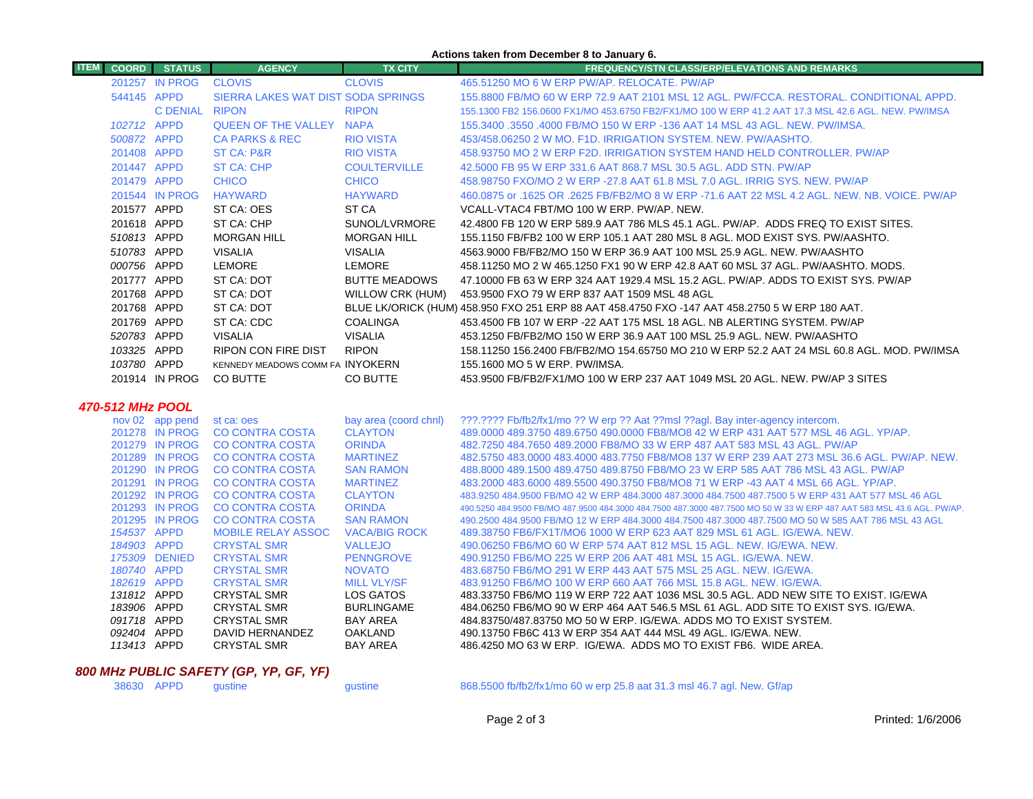#### **Actions taken from December 8 to January 6.**

| <b>ITEM</b><br><b>COORD</b> | <b>STATUS</b>                    | <b>AGENCY</b>                                    | <b>TX CITY</b>                       | <b>FREQUENCY/STN CLASS/ERP/ELEVATIONS AND REMARKS</b>                                                                                                                                    |
|-----------------------------|----------------------------------|--------------------------------------------------|--------------------------------------|------------------------------------------------------------------------------------------------------------------------------------------------------------------------------------------|
|                             | 201257 IN PROG                   | <b>CLOVIS</b>                                    | <b>CLOVIS</b>                        | 465.51250 MO 6 W ERP PW/AP, RELOCATE, PW/AP                                                                                                                                              |
|                             | 544145 APPD                      | SIERRA LAKES WAT DIST SODA SPRINGS               |                                      | 155.8800 FB/MO 60 W ERP 72.9 AAT 2101 MSL 12 AGL. PW/FCCA. RESTORAL. CONDITIONAL APPD.                                                                                                   |
|                             | C DENIAL RIPON                   |                                                  | <b>RIPON</b>                         | 155.1300 FB2 156.0600 FX1/MO 453.6750 FB2/FX1/MO 100 W ERP 41.2 AAT 17.3 MSL 42.6 AGL. NEW. PW/IMSA                                                                                      |
|                             | 102712 APPD                      | <b>QUEEN OF THE VALLEY NAPA</b>                  |                                      | 155,3400 .3550 .4000 FB/MO 150 W ERP -136 AAT 14 MSL 43 AGL. NEW, PW/IMSA.                                                                                                               |
|                             | 500872 APPD                      | <b>CA PARKS &amp; REC</b>                        | <b>RIO VISTA</b>                     | 453/458.06250 2 W MO. F1D. IRRIGATION SYSTEM. NEW. PW/AASHTO.                                                                                                                            |
|                             | 201408 APPD                      | <b>ST CA: P&amp;R</b>                            | <b>RIO VISTA</b>                     | 458.93750 MO 2 W ERP F2D. IRRIGATION SYSTEM HAND HELD CONTROLLER. PW/AP                                                                                                                  |
|                             | 201447 APPD                      | <b>ST CA: CHP</b>                                | <b>COULTERVILLE</b>                  | 42,5000 FB 95 W ERP 331.6 AAT 868.7 MSL 30.5 AGL, ADD STN, PW/AP                                                                                                                         |
|                             | 201479 APPD                      | <b>CHICO</b>                                     | <b>CHICO</b>                         | 458,98750 FXO/MO 2 W ERP -27.8 AAT 61.8 MSL 7.0 AGL, IRRIG SYS, NEW, PW/AP                                                                                                               |
|                             | 201544 IN PROG                   | <b>HAYWARD</b>                                   | <b>HAYWARD</b>                       | 460.0875 or .1625 OR .2625 FB/FB2/MO 8 W ERP -71.6 AAT 22 MSL 4.2 AGL. NEW. NB. VOICE. PW/AP                                                                                             |
|                             | 201577 APPD                      | ST CA: OES                                       | ST CA                                | VCALL-VTAC4 FBT/MO 100 W ERP. PW/AP. NEW.                                                                                                                                                |
|                             | 201618 APPD                      | ST CA: CHP                                       | SUNOL/LVRMORE                        | 42.4800 FB 120 W ERP 589.9 AAT 786 MLS 45.1 AGL. PW/AP. ADDS FREQ TO EXIST SITES.                                                                                                        |
|                             | 510813 APPD                      | <b>MORGAN HILL</b>                               | <b>MORGAN HILL</b>                   | 155.1150 FB/FB2 100 W ERP 105.1 AAT 280 MSL 8 AGL. MOD EXIST SYS. PW/AASHTO.                                                                                                             |
|                             | 510783 APPD                      | <b>VISALIA</b>                                   | <b>VISALIA</b>                       | 4563,9000 FB/FB2/MO 150 W ERP 36.9 AAT 100 MSL 25.9 AGL. NEW. PW/AASHTO                                                                                                                  |
|                             | 000756 APPD                      | LEMORE                                           | LEMORE                               | 458.11250 MO 2 W 465.1250 FX1 90 W ERP 42.8 AAT 60 MSL 37 AGL. PW/AASHTO. MODS.                                                                                                          |
|                             | 201777 APPD                      | ST CA: DOT                                       | <b>BUTTE MEADOWS</b>                 | 47.10000 FB 63 W ERP 324 AAT 1929.4 MSL 15.2 AGL. PW/AP. ADDS TO EXIST SYS. PW/AP                                                                                                        |
|                             | 201768 APPD                      | ST CA: DOT                                       | <b>WILLOW CRK (HUM)</b>              | 453.9500 FXO 79 W ERP 837 AAT 1509 MSL 48 AGL                                                                                                                                            |
|                             | 201768 APPD                      | ST CA: DOT                                       |                                      | BLUE LK/ORICK (HUM) 458.950 FXO 251 ERP 88 AAT 458.4750 FXO -147 AAT 458.2750 5 W ERP 180 AAT.                                                                                           |
|                             | 201769 APPD                      | ST CA: CDC                                       | <b>COALINGA</b>                      | 453.4500 FB 107 W ERP -22 AAT 175 MSL 18 AGL. NB ALERTING SYSTEM. PW/AP                                                                                                                  |
|                             | 520783 APPD                      | <b>VISALIA</b>                                   | <b>VISALIA</b>                       | 453.1250 FB/FB2/MO 150 W ERP 36.9 AAT 100 MSL 25.9 AGL. NEW. PW/AASHTO                                                                                                                   |
|                             | 103325 APPD                      | <b>RIPON CON FIRE DIST</b>                       | <b>RIPON</b>                         | 158.11250 156.2400 FB/FB2/MO 154.65750 MO 210 W ERP 52.2 AAT 24 MSL 60.8 AGL. MOD. PW/IMSA                                                                                               |
|                             | 103780 APPD                      | KENNEDY MEADOWS COMM FA INYOKERN                 |                                      | 155.1600 MO 5 W ERP. PW/IMSA.                                                                                                                                                            |
|                             | 201914 IN PROG                   | CO BUTTE                                         | CO BUTTE                             | 453,9500 FB/FB2/FX1/MO 100 W ERP 237 AAT 1049 MSL 20 AGL. NEW. PW/AP 3 SITES                                                                                                             |
|                             |                                  |                                                  |                                      |                                                                                                                                                                                          |
| <b>470-512 MHz POOL</b>     |                                  |                                                  |                                      |                                                                                                                                                                                          |
|                             | nov 02 app pend                  | st ca: oes                                       | bay area (coord chnl)                | ???.???? Fb/fb2/fx1/mo ?? W erp ?? Aat ??msl ??agl. Bay inter-agency intercom.                                                                                                           |
|                             | 201278 IN PROG                   | <b>CO CONTRA COSTA</b>                           | <b>CLAYTON</b>                       | 489,0000 489,3750 489,6750 490,0000 FB8/MO8 42 W ERP 431 AAT 577 MSL 46 AGL, YP/AP,                                                                                                      |
|                             | 201279 IN PROG                   | <b>CO CONTRA COSTA</b>                           | <b>ORINDA</b>                        | 482.7250 484.7650 489.2000 FB8/MO 33 W ERP 487 AAT 583 MSL 43 AGL. PW/AP                                                                                                                 |
|                             | 201289 IN PROG                   | <b>CO CONTRA COSTA</b>                           | <b>MARTINEZ</b>                      | 482.5750 483.0000 483.4000 483.7750 FB8/MO8 137 W ERP 239 AAT 273 MSL 36.6 AGL. PW/AP. NEW.                                                                                              |
|                             | 201290 IN PROG<br>201291 IN PROG | <b>CO CONTRA COSTA</b><br><b>CO CONTRA COSTA</b> | <b>SAN RAMON</b><br><b>MARTINEZ</b>  | 488,8000 489,1500 489,4750 489,8750 FB8/MO 23 W ERP 585 AAT 786 MSL 43 AGL, PW/AP                                                                                                        |
|                             | 201292 IN PROG                   | <b>CO CONTRA COSTA</b>                           | <b>CLAYTON</b>                       | 483.2000 483.6000 489.5500 490.3750 FB8/MO8 71 W ERP -43 AAT 4 MSL 66 AGL. YP/AP.<br>483.9250 484.9500 FB/MO 42 W ERP 484.3000 487.3000 484.7500 487.7500 5 W ERP 431 AAT 577 MSL 46 AGL |
|                             | 201293 IN PROG                   | <b>CO CONTRA COSTA</b>                           | <b>ORINDA</b>                        | 490.5250 484.9500 FB/MO 487.9500 484.3000 484.7500 487.3000 487.7500 MO 50 W 33 W ERP 487 AAT 583 MSL 43.6 AGL. PW/AP.                                                                   |
|                             | 201295 IN PROG                   | <b>CO CONTRA COSTA</b>                           | <b>SAN RAMON</b>                     | 490.2500 484.9500 FB/MO 12 W ERP 484.3000 484.7500 487.3000 487.7500 MO 50 W 585 AAT 786 MSL 43 AGL                                                                                      |
|                             | 154537 APPD                      | <b>MOBILE RELAY ASSOC</b>                        | <b>VACA/BIG ROCK</b>                 | 489.38750 FB6/FX1T/MO6 1000 W ERP 623 AAT 829 MSL 61 AGL. IG/EWA. NEW.                                                                                                                   |
|                             | 184903 APPD                      | <b>CRYSTAL SMR</b>                               | <b>VALLEJO</b>                       | 490.06250 FB6/MO 60 W ERP 574 AAT 812 MSL 15 AGL, NEW, IG/EWA, NEW.                                                                                                                      |
|                             | 175309 DENIED                    | <b>CRYSTAL SMR</b>                               | <b>PENNGROVE</b>                     | 490.91250 FB6/MO 225 W ERP 206 AAT 481 MSL 15 AGL, IG/EWA, NEW.                                                                                                                          |
|                             | 180740 APPD                      | <b>CRYSTAL SMR</b>                               | <b>NOVATO</b>                        | 483.68750 FB6/MO 291 W ERP 443 AAT 575 MSL 25 AGL. NEW. IG/EWA.                                                                                                                          |
|                             | 182619 APPD                      | <b>CRYSTAL SMR</b>                               | <b>MILL VLY/SF</b>                   | 483.91250 FB6/MO 100 W ERP 660 AAT 766 MSL 15.8 AGL. NEW. IG/EWA.                                                                                                                        |
|                             | 131812 APPD                      | <b>CRYSTAL SMR</b>                               | LOS GATOS                            | 483.33750 FB6/MO 119 W ERP 722 AAT 1036 MSL 30.5 AGL. ADD NEW SITE TO EXIST. IG/EWA                                                                                                      |
|                             | 183906 APPD<br>091718 APPD       | <b>CRYSTAL SMR</b><br><b>CRYSTAL SMR</b>         | <b>BURLINGAME</b><br><b>BAY AREA</b> | 484.06250 FB6/MO 90 W ERP 464 AAT 546.5 MSL 61 AGL. ADD SITE TO EXIST SYS. IG/EWA.<br>484.83750/487.83750 MO 50 W ERP. IG/EWA. ADDS MO TO EXIST SYSTEM.                                  |
|                             | 092404 APPD                      | DAVID HERNANDEZ                                  | <b>OAKLAND</b>                       | 490.13750 FB6C 413 W ERP 354 AAT 444 MSL 49 AGL. IG/EWA, NEW.                                                                                                                            |
|                             | 113413 APPD                      | <b>CRYSTAL SMR</b>                               | <b>BAY AREA</b>                      | 486.4250 MO 63 W ERP. IG/EWA. ADDS MO TO EXIST FB6. WIDE AREA.                                                                                                                           |

# *800 MHz PUBLIC SAFETY (GP, YP, GF, YF)*

gustine 368.5500 fb/fb2/fx1/mo 60 w erp 25.8 aat 31.3 msl 46.7 agl. New. Gf/ap